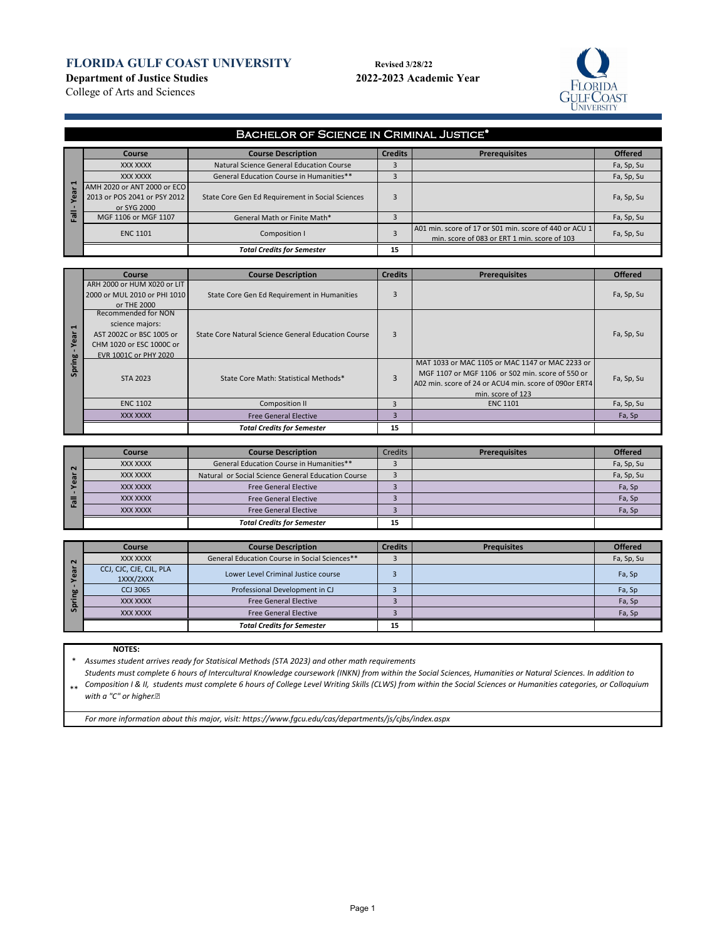## **FLORIDA GULF COAST UNIVERSITY** Revised 3/28/22

**Department of Justice Studies 2022-2023 Academic Year**





College of Arts and Sciences

|                       | <b>BACHELOR OF SCIENCE IN CRIMINAL JUSTICE*</b> |                                                  |                |                                                                                                        |                |  |  |  |
|-----------------------|-------------------------------------------------|--------------------------------------------------|----------------|--------------------------------------------------------------------------------------------------------|----------------|--|--|--|
|                       | Course                                          | <b>Course Description</b>                        | <b>Credits</b> | <b>Prerequisites</b>                                                                                   | <b>Offered</b> |  |  |  |
|                       | XXX XXXX                                        | Natural Science General Education Course         |                |                                                                                                        | Fa, Sp, Su     |  |  |  |
|                       | XXX XXXX                                        | General Education Course in Humanities**         |                |                                                                                                        | Fa, Sp, Su     |  |  |  |
| $\blacksquare$<br>vea | AMH 2020 or ANT 2000 or ECO                     |                                                  |                |                                                                                                        |                |  |  |  |
|                       | 2013 or POS 2041 or PSY 2012                    | State Core Gen Ed Requirement in Social Sciences |                |                                                                                                        | Fa, Sp, Su     |  |  |  |
|                       | or SYG 2000                                     |                                                  |                |                                                                                                        |                |  |  |  |
| 高                     | MGF 1106 or MGF 1107                            | General Math or Finite Math*                     |                |                                                                                                        | Fa, Sp, Su     |  |  |  |
|                       | <b>ENC 1101</b>                                 | Composition I                                    |                | A01 min. score of 17 or S01 min. score of 440 or ACU 1<br>min. score of 083 or ERT 1 min. score of 103 | Fa, Sp, Su     |  |  |  |
|                       |                                                 | <b>Total Credits for Semester</b>                | 15             |                                                                                                        |                |  |  |  |

|                | <b>Course</b>                                     | <b>Course Description</b>                           | <b>Credits</b>                                        | <b>Prerequisites</b>                            | <b>Offered</b> |
|----------------|---------------------------------------------------|-----------------------------------------------------|-------------------------------------------------------|-------------------------------------------------|----------------|
|                | ARH 2000 or HUM X020 or LIT                       |                                                     |                                                       |                                                 |                |
|                | 2000 or MUL 2010 or PHI 1010                      | State Core Gen Ed Requirement in Humanities         | 3                                                     |                                                 | Fa, Sp, Su     |
|                | or THE 2000                                       |                                                     |                                                       |                                                 |                |
|                | Recommended for NON                               |                                                     |                                                       |                                                 |                |
| $\blacksquare$ | science majors:                                   | State Core Natural Science General Education Course |                                                       |                                                 |                |
| Year           | AST 2002C or BSC 1005 or                          |                                                     | 3                                                     |                                                 | Fa, Sp, Su     |
|                | CHM 1020 or ESC 1000C or                          |                                                     |                                                       |                                                 |                |
|                | EVR 1001C or PHY 2020                             |                                                     |                                                       |                                                 |                |
| Spring         |                                                   |                                                     |                                                       | MAT 1033 or MAC 1105 or MAC 1147 or MAC 2233 or |                |
|                | STA 2023<br>State Core Math: Statistical Methods* |                                                     | MGF 1107 or MGF 1106 or S02 min. score of 550 or      | Fa, Sp, Su                                      |                |
|                |                                                   |                                                     | A02 min. score of 24 or ACU4 min. score of 090or ERT4 |                                                 |                |
|                |                                                   |                                                     |                                                       | min. score of 123                               |                |
|                | <b>ENC 1102</b>                                   | <b>Composition II</b>                               |                                                       | <b>ENC 1101</b>                                 | Fa, Sp, Su     |
|                | XXX XXXX                                          | <b>Free General Elective</b>                        | R                                                     |                                                 | Fa, Sp         |
|                |                                                   | <b>Total Credits for Semester</b>                   | 15                                                    |                                                 |                |

|          | Course   | <b>Course Description</b>                          | Credits | <b>Prerequisites</b> | <b>Offered</b> |
|----------|----------|----------------------------------------------------|---------|----------------------|----------------|
| $\sim$   | XXX XXXX | General Education Course in Humanities**           |         |                      | Fa, Sp, Su     |
| ω.       | XXX XXXX | Natural or Social Science General Education Course |         |                      | Fa, Sp, Su     |
|          | XXX XXXX | <b>Free General Elective</b>                       |         |                      | Fa, Sp         |
| <b>I</b> | XXX XXXX | <b>Free General Elective</b>                       |         |                      | Fa, Sp         |
|          | XXX XXXX | <b>Free General Elective</b>                       |         |                      | Fa, Sp         |
|          |          | <b>Total Credits for Semester</b>                  | 15      |                      |                |

|          | Course                               | <b>Course Description</b>                     | <b>Credits</b> | <b>Prequisites</b> | <b>Offered</b> |
|----------|--------------------------------------|-----------------------------------------------|----------------|--------------------|----------------|
| $\sim$   | XXX XXXX                             | General Education Course in Social Sciences** |                |                    | Fa, Sp, Su     |
|          | CCJ, CJC, CJE, CJL, PLA<br>1XXX/2XXX | Lower Level Criminal Justice course           |                |                    | Fa, Sp         |
| $\omega$ | <b>CCJ 3065</b>                      | Professional Development in CJ                |                |                    | Fa, Sp         |
|          | XXX XXXX                             | <b>Free General Elective</b>                  |                |                    | Fa, Sp         |
| - 5      | XXX XXXX                             | <b>Free General Elective</b>                  |                |                    | Fa, Sp         |
|          |                                      | <b>Total Credits for Semester</b>             | 15             |                    |                |

#### **NOTES:**

\* *Assumes student arrives ready for Statisical Methods (STA 2023) and other math requirements*

\*\* *Students must complete 6 hours of Intercultural Knowledge coursework (INKN) from within the Social Sciences, Humanities or Natural Sciences. In addition to Composition I & II, students must complete 6 hours of College Level Writing Skills (CLWS) from within the Social Sciences or Humanities categories, or Colloquium with a "C" or higher.* 

*For more information about this major, visit: https://www.fgcu.edu/cas/departments/js/cjbs/index.aspx*